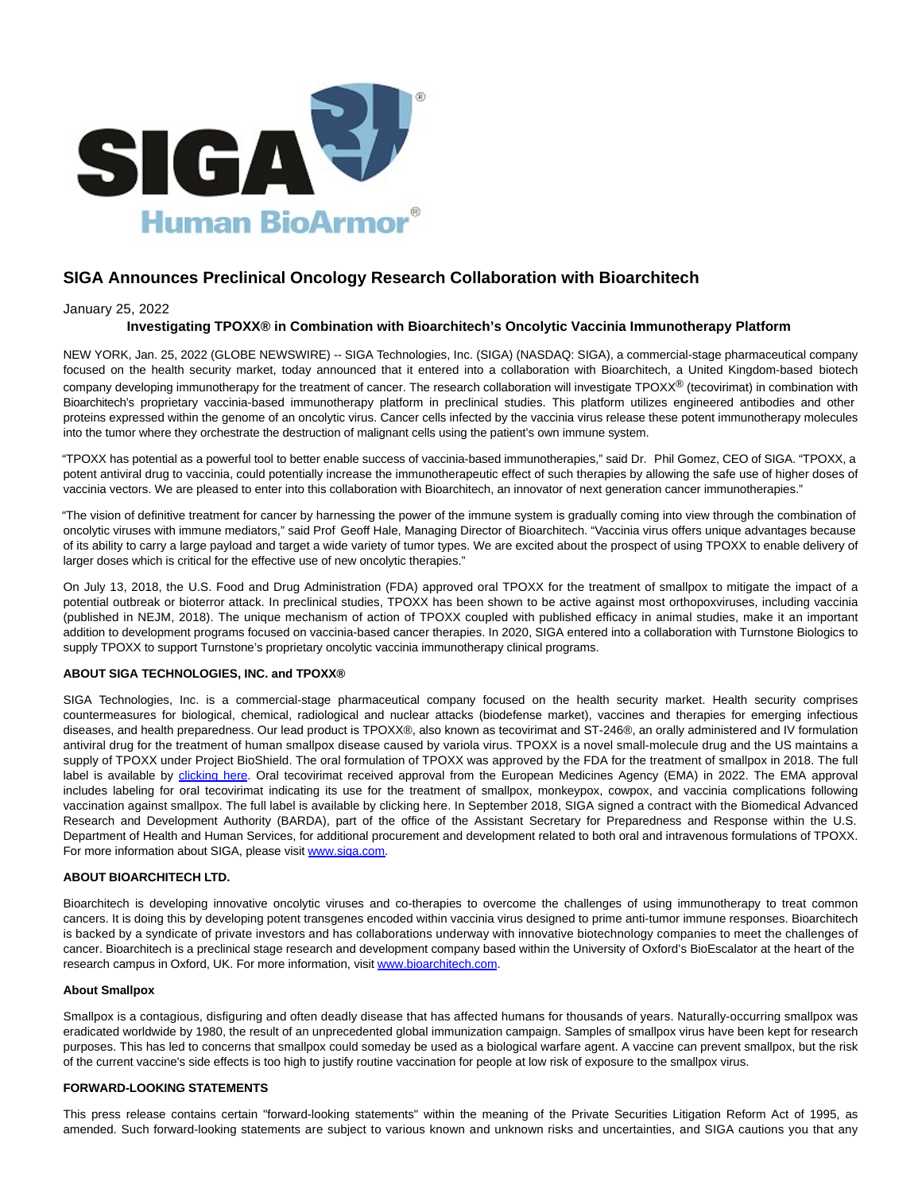

# **SIGA Announces Preclinical Oncology Research Collaboration with Bioarchitech**

# January 25, 2022

# **Investigating TPOXX® in Combination with Bioarchitech's Oncolytic Vaccinia Immunotherapy Platform**

NEW YORK, Jan. 25, 2022 (GLOBE NEWSWIRE) -- SIGA Technologies, Inc. (SIGA) (NASDAQ: SIGA), a commercial-stage pharmaceutical company focused on the health security market, today announced that it entered into a collaboration with Bioarchitech, a United Kingdom-based biotech company developing immunotherapy for the treatment of cancer. The research collaboration will investigate TPOXX® (tecovirimat) in combination with Bioarchitech's proprietary vaccinia-based immunotherapy platform in preclinical studies. This platform utilizes engineered antibodies and other proteins expressed within the genome of an oncolytic virus. Cancer cells infected by the vaccinia virus release these potent immunotherapy molecules into the tumor where they orchestrate the destruction of malignant cells using the patient's own immune system.

"TPOXX has potential as a powerful tool to better enable success of vaccinia-based immunotherapies," said Dr. Phil Gomez, CEO of SIGA. "TPOXX, a potent antiviral drug to vaccinia, could potentially increase the immunotherapeutic effect of such therapies by allowing the safe use of higher doses of vaccinia vectors. We are pleased to enter into this collaboration with Bioarchitech, an innovator of next generation cancer immunotherapies."

"The vision of definitive treatment for cancer by harnessing the power of the immune system is gradually coming into view through the combination of oncolytic viruses with immune mediators," said Prof Geoff Hale, Managing Director of Bioarchitech. "Vaccinia virus offers unique advantages because of its ability to carry a large payload and target a wide variety of tumor types. We are excited about the prospect of using TPOXX to enable delivery of larger doses which is critical for the effective use of new oncolytic therapies."

On July 13, 2018, the U.S. Food and Drug Administration (FDA) approved oral TPOXX for the treatment of smallpox to mitigate the impact of a potential outbreak or bioterror attack. In preclinical studies, TPOXX has been shown to be active against most orthopoxviruses, including vaccinia (published in NEJM, 2018). The unique mechanism of action of TPOXX coupled with published efficacy in animal studies, make it an important addition to development programs focused on vaccinia-based cancer therapies. In 2020, SIGA entered into a collaboration with Turnstone Biologics to supply TPOXX to support Turnstone's proprietary oncolytic vaccinia immunotherapy clinical programs.

## **ABOUT SIGA TECHNOLOGIES, INC. and TPOXX®**

SIGA Technologies, Inc. is a commercial-stage pharmaceutical company focused on the health security market. Health security comprises countermeasures for biological, chemical, radiological and nuclear attacks (biodefense market), vaccines and therapies for emerging infectious diseases, and health preparedness. Our lead product is TPOXX®, also known as tecovirimat and ST-246®, an orally administered and IV formulation antiviral drug for the treatment of human smallpox disease caused by variola virus. TPOXX is a novel small-molecule drug and the US maintains a supply of TPOXX under Project BioShield. The oral formulation of TPOXX was approved by the FDA for the treatment of smallpox in 2018. The full label is available by [clicking here.](https://www.globenewswire.com/Tracker?data=Fvt47WCOp8qw9Iza-XtcQeGbLuRV8hg1Y_S6m3jcrYq0fU5_AbafAChgLfvFOz00IvxoDWwLNgfDI72Gw3iU0LnjlNHWUi4IN6ErZ86N-PwWLKRIAPqse3KyRf1k6oqY8S1Yp9WEqZJ-B9fpyafy8A==) Oral tecovirimat received approval from the European Medicines Agency (EMA) in 2022. The EMA approval includes labeling for oral tecovirimat indicating its use for the treatment of smallpox, monkeypox, cowpox, and vaccinia complications following vaccination against smallpox. The full label is available by clicking here. In September 2018, SIGA signed a contract with the Biomedical Advanced Research and Development Authority (BARDA), part of the office of the Assistant Secretary for Preparedness and Response within the U.S. Department of Health and Human Services, for additional procurement and development related to both oral and intravenous formulations of TPOXX. For more information about SIGA, please visit [www.siga.com.](http://www.siga.com/)

## **ABOUT BIOARCHITECH LTD.**

Bioarchitech is developing innovative oncolytic viruses and co-therapies to overcome the challenges of using immunotherapy to treat common cancers. It is doing this by developing potent transgenes encoded within vaccinia virus designed to prime anti-tumor immune responses. Bioarchitech is backed by a syndicate of private investors and has collaborations underway with innovative biotechnology companies to meet the challenges of cancer. Bioarchitech is a preclinical stage research and development company based within the University of Oxford's BioEscalator at the heart of the research campus in Oxford, UK. For more information, visit [www.bioarchitech.com.](http://www.bioarchitech.com/)

#### **About Smallpox**

Smallpox is a contagious, disfiguring and often deadly disease that has affected humans for thousands of years. Naturally-occurring smallpox was eradicated worldwide by 1980, the result of an unprecedented global immunization campaign. Samples of smallpox virus have been kept for research purposes. This has led to concerns that smallpox could someday be used as a biological warfare agent. A vaccine can prevent smallpox, but the risk of the current vaccine's side effects is too high to justify routine vaccination for people at low risk of exposure to the smallpox virus.

#### **FORWARD-LOOKING STATEMENTS**

This press release contains certain "forward-looking statements" within the meaning of the Private Securities Litigation Reform Act of 1995, as amended. Such forward-looking statements are subject to various known and unknown risks and uncertainties, and SIGA cautions you that any